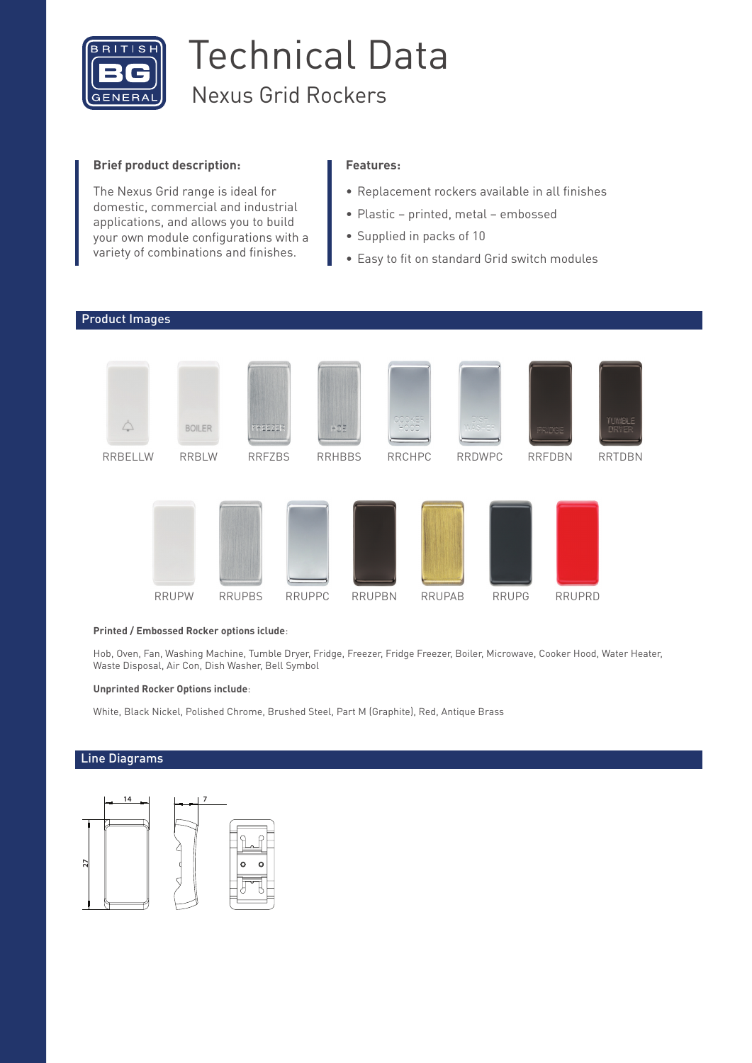

# Technical Data Nexus Grid Rockers

### **Brief product description:**

The Nexus Grid range is ideal for domestic, commercial and industrial applications, and allows you to build your own module configurations with a variety of combinations and finishes.

### **Features:**

- Replacement rockers available in all finishes
- Plastic printed, metal embossed
- Supplied in packs of 10
- Easy to fit on standard Grid switch modules



#### **Printed / Embossed Rocker options iclude**:

Hob, Oven, Fan, Washing Machine, Tumble Dryer, Fridge, Freezer, Fridge Freezer, Boiler, Microwave, Cooker Hood, Water Heater, Waste Disposal, Air Con, Dish Washer, Bell Symbol

#### **Unprinted Rocker Options include**:

White, Black Nickel, Polished Chrome, Brushed Steel, Part M (Graphite), Red, Antique Brass

## Line Diagrams

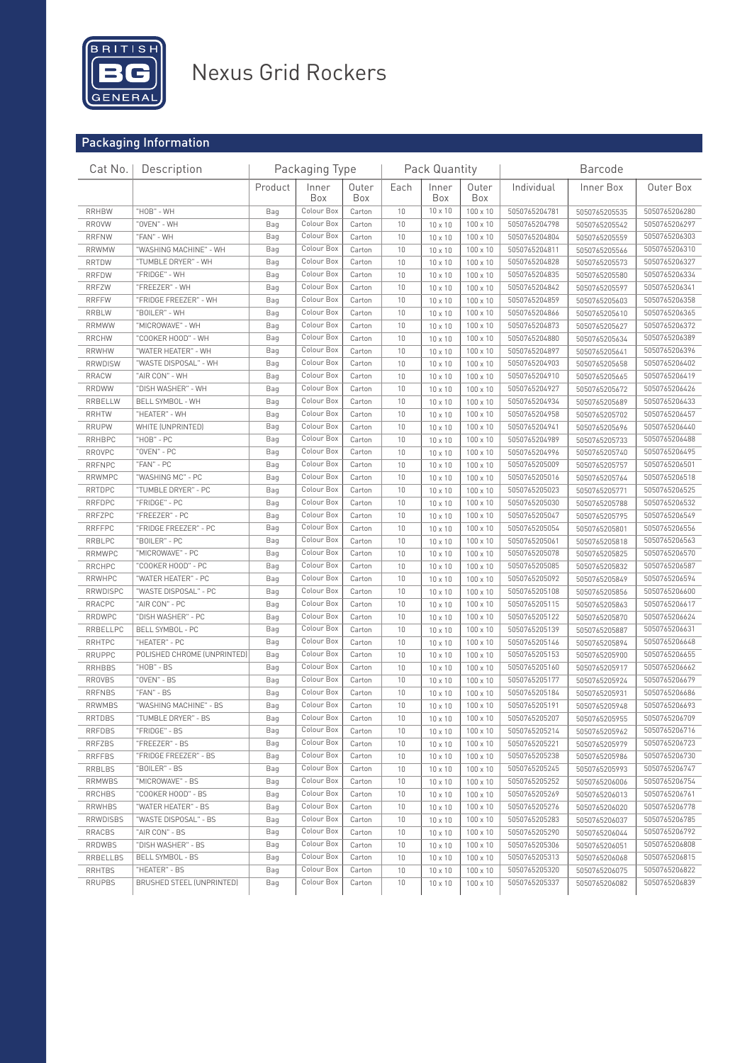

## Nexus Grid Rockers

## Packaging Information

| Cat No.        | Description                 |         | Packaging Type |              |      | Pack Quantity  |                 |                                | <b>Barcode</b>                 |               |
|----------------|-----------------------------|---------|----------------|--------------|------|----------------|-----------------|--------------------------------|--------------------------------|---------------|
|                |                             | Product | Inner<br>Box   | Outer<br>Box | Each | Inner<br>Box   | Outer<br>Box    | Individual                     | Inner Box                      | Outer Box     |
| <b>RRHBW</b>   | "HOB" - WH                  | Bag     | Colour Box     | Carton       | 10   | 10 x 10        | 100 x 10        | 5050765204781                  | 5050765205535                  | 5050765206280 |
| <b>RROVW</b>   | "OVEN" - WH                 | Bag     | Colour Box     | Carton       | 10   | 10 x 10        | 100 x 10        | 5050765204798<br>5050765205542 |                                | 5050765206297 |
| <b>RRFNW</b>   | "FAN" - WH                  | Bag     | Colour Box     | Carton       | 10   | 10 x 10        | 100 x 10        | 5050765204804<br>5050765205559 |                                | 5050765206303 |
| <b>RRWMW</b>   | "WASHING MACHINE" - WH      | Bag     | Colour Box     | Carton       | 10   | $10 \times 10$ | 100 x 10        | 5050765204811                  | 5050765205566                  |               |
| <b>RRTDW</b>   | "TUMBLE DRYER" - WH         | Bag     | Colour Box     | Carton       | 10   | 10 x 10        | 100 x 10        | 5050765204828                  | 5050765205573                  |               |
| <b>RRFDW</b>   | "FRIDGE" - WH               | Bag     | Colour Box     | Carton       | 10   | $10 \times 10$ | 100 x 10        | 5050765204835                  | 5050765206334<br>5050765205580 |               |
| <b>RRFZW</b>   | "FREEZER" - WH              | Bag     | Colour Box     | Carton       | 10   | $10 \times 10$ | 100 x 10        | 5050765204842                  | 5050765205597                  | 5050765206341 |
| <b>RRFFW</b>   | "FRIDGE FREEZER" - WH       | Bag     | Colour Box     | Carton       | 10   | $10 \times 10$ | 100 x 10        | 5050765204859                  | 5050765205603                  | 5050765206358 |
| <b>RRBLW</b>   | "BOILER" - WH               | Bag     | Colour Box     | Carton       | 10   | $10 \times 10$ | 100 x 10        | 5050765204866                  | 5050765205610                  | 5050765206365 |
| <b>RRMWW</b>   | "MICROWAVE" - WH            | Bag     | Colour Box     | Carton       | 10   | $10 \times 10$ | 100 x 10        | 5050765204873                  | 5050765206372<br>5050765205627 |               |
| <b>RRCHW</b>   | "COOKER HOOD" - WH          | Bag     | Colour Box     | Carton       | 10   | 10 x 10        | 100 x 10        | 5050765204880<br>5050765205634 |                                | 5050765206389 |
| <b>RRWHW</b>   | "WATER HEATER" - WH         | Bag     | Colour Box     | Carton       | 10   | 10 x 10        | 100 x 10        | 5050765204897                  | 5050765205641                  | 5050765206396 |
| <b>RRWDISW</b> | "WASTE DISPOSAL" - WH       | Bag     | Colour Box     | Carton       | 10   | $10 \times 10$ | 100 x 10        | 5050765204903                  | 5050765205658                  | 5050765206402 |
| <b>RRACW</b>   | "AIR CON" - WH              | Bag     | Colour Box     | Carton       | 10   | $10 \times 10$ | 100 x 10        | 5050765204910                  | 5050765205665                  | 5050765206419 |
| <b>RRDWW</b>   | "DISH WASHER" - WH          | Bag     | Colour Box     | Carton       | 10   | 10 x 10        | 100 x 10        | 5050765204927                  | 5050765205672                  | 5050765206426 |
| RRBELLW        | BELL SYMBOL - WH            | Bag     | Colour Box     | Carton       | 10   | $10 \times 10$ | 100 x 10        | 5050765204934                  | 5050765205689                  | 5050765206433 |
| <b>RRHTW</b>   | "HEATER" - WH               | Bag     | Colour Box     | Carton       | 10   | $10 \times 10$ | 100 x 10        | 5050765204958                  | 5050765205702                  | 5050765206457 |
| <b>RRUPW</b>   | WHITE (UNPRINTED)           | Bag     | Colour Box     | Carton       | 10   | 10 x 10        | 100 x 10        | 5050765204941                  | 5050765205696                  | 5050765206440 |
| <b>RRHBPC</b>  | "HOB" - PC                  | Bag     | Colour Box     | Carton       | 10   | $10 \times 10$ | 100 x 10        | 5050765204989                  | 5050765205733                  | 5050765206488 |
| <b>RROVPC</b>  | "OVEN" - PC                 | Bag     | Colour Box     | Carton       | 10   | $10 \times 10$ | 100 x 10        | 5050765204996                  | 5050765205740                  | 5050765206495 |
| <b>RRFNPC</b>  | "FAN" - PC                  | Bag     | Colour Box     | Carton       | 10   | 10 x 10        | 100 x 10        | 5050765205009                  | 5050765205757                  | 5050765206501 |
| <b>RRWMPC</b>  | "WASHING MC" - PC           | Bag     | Colour Box     | Carton       | 10   | $10 \times 10$ | 100 x 10        | 5050765205016                  | 5050765205764                  | 5050765206518 |
| <b>RRTDPC</b>  | "TUMBLE DRYER" - PC         | Bag     | Colour Box     | Carton       | 10   | $10 \times 10$ | 100 x 10        | 5050765205023                  | 5050765205771                  | 5050765206525 |
| <b>RRFDPC</b>  | "FRIDGE" - PC               | Bag     | Colour Box     | Carton       | 10   | 10 x 10        | 100 x 10        | 5050765205030                  | 5050765205788                  | 5050765206532 |
| <b>RRFZPC</b>  | "FREEZER" - PC              | Bag     | Colour Box     | Carton       | 10   | $10 \times 10$ | 100 x 10        | 5050765205047                  | 5050765205795                  | 5050765206549 |
| <b>RRFFPC</b>  | "FRIDGE FREEZER" - PC       | Bag     | Colour Box     | Carton       | 10   | $10 \times 10$ | $100 \times 10$ | 5050765205054                  | 5050765205801                  | 5050765206556 |
| RRBLPC         | "BOILER" - PC               | Bag     | Colour Box     | Carton       | 10   | 10 x 10        | 100 x 10        | 5050765205061                  | 5050765205818                  | 5050765206563 |
| <b>RRMWPC</b>  | "MICROWAVE" - PC            | Bag     | Colour Box     | Carton       | 10   | $10 \times 10$ | 100 x 10        | 5050765205078                  | 5050765205825                  | 5050765206570 |
| <b>RRCHPC</b>  | "COOKER HOOD" - PC          | Bag     | Colour Box     | Carton       | 10   | $10 \times 10$ | 100 x 10        | 5050765205085                  | 5050765205832                  | 5050765206587 |
| <b>RRWHPC</b>  | "WATER HEATER" - PC         | Bag     | Colour Box     | Carton       | 10   | 10 x 10        | 100 x 10        | 5050765205092                  | 5050765205849                  | 5050765206594 |
| RRWDISPC       | "WASTE DISPOSAL" - PC       | Bag     | Colour Box     | Carton       | 10   | $10 \times 10$ | 100 x 10        | 5050765205108                  | 5050765205856                  | 5050765206600 |
| RRACPC         | "AIR CON" - PC              | Bag     | Colour Box     | Carton       | 10   | $10 \times 10$ | $100 \times 10$ | 5050765205115                  | 5050765205863                  | 5050765206617 |
| RRDWPC         | "DISH WASHER" - PC          | Bag     | Colour Box     | Carton       | 10   | $10 \times 10$ | 100 x 10        | 5050765205122                  | 5050765205870                  | 5050765206624 |
| RRBELLPC       | BELL SYMBOL - PC            | Bag     | Colour Box     | Carton       | 10   | $10 \times 10$ | 100 x 10        | 5050765205139                  | 5050765205887                  | 5050765206631 |
| <b>RRHTPC</b>  | "HEATER" - PC               | Bag     | Colour Box     | Carton       | 10   | $10 \times 10$ | 100 x 10        | 5050765205146                  | 5050765205894                  | 5050765206648 |
| <b>RRUPPC</b>  | POLISHED CHROME (UNPRINTED) | Bag     | Colour Box     | Carton       | 10   | 10 x 10        | 100 x 10        | 5050765205153                  | 5050765205900                  | 5050765206655 |
| <b>RRHBBS</b>  | "HOB" - BS                  | Bag     | Colour Box     | Carton       | 10   | $10 \times 10$ | 100 x 10        | 5050765205160                  | 5050765205917                  | 5050765206662 |
| <b>RROVBS</b>  | "OVEN" - BS                 | Bag     | Colour Box     | Carton       | 10   | 10 x 10        | 100 x 10        | 5050765205177                  | 5050765205924                  | 5050765206679 |
| <b>RRFNBS</b>  | "FAN" - BS                  | Bag     | Colour Box     | Carton       | 10   | $10 \times 10$ | 100 x 10        | 5050765205184                  | 5050765205931                  | 5050765206686 |
| <b>RRWMBS</b>  | "WASHING MACHINE" - BS      | Bag     | Colour Box     | Carton       | 10   | 10 x 10        | 100 x 10        | 5050765205191                  | 5050765205948                  | 5050765206693 |
| RRTDBS         | "TUMBLE DRYER" - BS         | Bag     | Colour Box     | Carton       | 10   | 10 x 10        | 100 x 10        | 5050765205207                  | 5050765205955                  | 5050765206709 |
| <b>RRFDBS</b>  | "FRIDGE" - BS               | Bag     | Colour Box     | Carton       | 10   | $10 \times 10$ | $100 \times 10$ | 5050765205214                  | 5050765205962                  | 5050765206716 |
| RRFZBS         | "FREEZER" - BS              | Bag     | Colour Box     | Carton       | 10   | 10 x 10        | $100 \times 10$ | 5050765205221                  | 5050765205979                  | 5050765206723 |
| <b>RRFFBS</b>  | "FRIDGE FREEZER" - BS       | Bag     | Colour Box     | Carton       | 10   | 10 x 10        | 100 x 10        | 5050765205238                  | 5050765205986                  | 5050765206730 |
| RRBLBS         | "BOILER" - BS               | Bag     | Colour Box     | Carton       | 10   | 10 x 10        | $100 \times 10$ | 5050765205245                  | 5050765205993                  | 5050765206747 |
| <b>RRMWBS</b>  | "MICROWAVE" - BS            | Bag     | Colour Box     | Carton       | 10   | 10 x 10        | $100 \times 10$ | 5050765205252                  | 5050765206006                  | 5050765206754 |
| RRCHBS         | "COOKER HOOD" - BS          | Bag     | Colour Box     | Carton       | 10   | 10 x 10        | 100 x 10        | 5050765205269                  | 5050765206013                  | 5050765206761 |
| RRWHBS         | "WATER HEATER" - BS         | Bag     | Colour Box     | Carton       | 10   | $10 \times 10$ | $100 \times 10$ | 5050765205276                  | 5050765206020                  | 5050765206778 |
| RRWDISBS       | "WASTE DISPOSAL" - BS       | Bag     | Colour Box     | Carton       | 10   | 10 x 10        | $100 \times 10$ | 5050765205283                  | 5050765206037                  | 5050765206785 |
| RRACBS         | "AIR CON" - BS              | Bag     | Colour Box     | Carton       | 10   | 10 x 10        | 100 x 10        | 5050765205290                  | 5050765206044                  | 5050765206792 |
| RRDWBS         | "DISH WASHER" - BS          | Bag     | Colour Box     | Carton       | 10   | 10 x 10        | 100 x 10        | 5050765205306                  | 5050765206051                  | 5050765206808 |
| RRBELLBS       | <b>BELL SYMBOL - BS</b>     | Bag     | Colour Box     | Carton       | 10   | 10 x 10        | $100 \times 10$ | 5050765205313                  | 5050765206068                  | 5050765206815 |
| RRHTBS         | "HEATER" - BS               | Bag     | Colour Box     | Carton       | 10   | 10 x 10        | 100 x 10        | 5050765205320                  | 5050765206075                  | 5050765206822 |
| <b>RRUPBS</b>  | BRUSHED STEEL (UNPRINTED)   | Bag     | Colour Box     | Carton       | 10   | 10 x 10        | 100 x 10        | 5050765205337                  | 5050765206082                  | 5050765206839 |
|                |                             |         |                |              |      |                |                 |                                |                                |               |